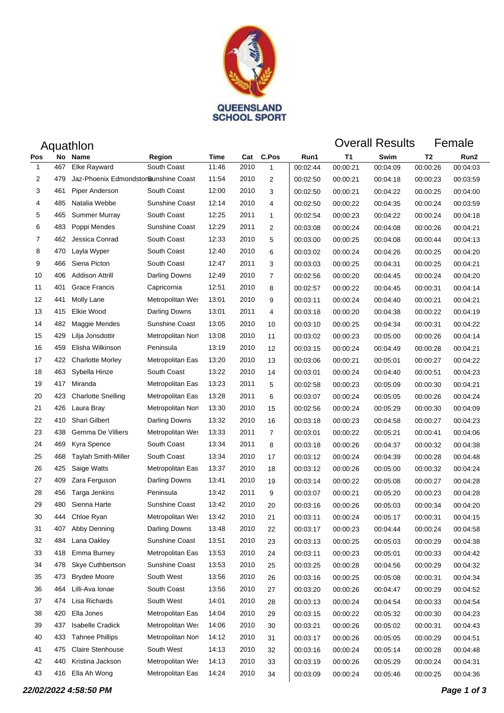

| Aquathlon    |     |                                      |                   |       |      |                |          | <b>Overall Results</b><br>Female |          |          |          |  |
|--------------|-----|--------------------------------------|-------------------|-------|------|----------------|----------|----------------------------------|----------|----------|----------|--|
| Pos          | No  | Name                                 | Region            | Time  | Cat  | C.Pos          | Run1     | Τ1                               | Swim     | T2       | Run2     |  |
| $\mathbf{1}$ | 467 | Elke Rayward                         | South Coast       | 11:46 | 2010 | 1              | 00:02:44 | 00:00:21                         | 00:04:09 | 00:00:26 | 00:04:03 |  |
| 2            | 479 | Jaz-Phoenix Edmondstor@unshine Coast |                   | 11:54 | 2010 | 2              | 00:02:50 | 00:00:21                         | 00:04:18 | 00:00:23 | 00:03:59 |  |
| 3            | 461 | Piper Anderson                       | South Coast       | 12:00 | 2010 | 3              | 00:02:50 | 00:00:21                         | 00:04:22 | 00:00:25 | 00:04:00 |  |
| 4            | 485 | Natalia Webbe                        | Sunshine Coast    | 12:14 | 2010 | 4              | 00:02:50 | 00:00:22                         | 00:04:35 | 00:00:24 | 00:03:59 |  |
| 5            | 465 | <b>Summer Murray</b>                 | South Coast       | 12:25 | 2011 | $\mathbf{1}$   | 00:02:54 | 00:00:23                         | 00:04:22 | 00:00:24 | 00:04:18 |  |
| 6            | 483 | Poppi Mendes                         | Sunshine Coast    | 12:29 | 2011 | 2              | 00:03:08 | 00:00:24                         | 00:04:08 | 00:00:26 | 00:04:21 |  |
| 7            | 462 | Jessica Conrad                       | South Coast       | 12:33 | 2010 | 5              | 00:03:00 | 00:00:25                         | 00:04:08 | 00:00:44 | 00:04:13 |  |
| 8            | 470 | Layla Wyper                          | South Coast       | 12:40 | 2010 | 6              | 00:03:02 | 00:00:24                         | 00:04:26 | 00:00:25 | 00:04:20 |  |
| 9            | 466 | Siena Picton                         | South Coast       | 12:47 | 2011 | 3              | 00:03:03 | 00:00:25                         | 00:04:31 | 00:00:25 | 00:04:21 |  |
| 10           | 406 | <b>Addison Attrill</b>               | Darling Downs     | 12:49 | 2010 | 7              | 00:02:56 | 00:00:20                         | 00:04:45 | 00:00:24 | 00:04:20 |  |
| 11           | 401 | <b>Grace Francis</b>                 | Capricornia       | 12:51 | 2010 | 8              | 00:02:57 | 00:00:22                         | 00:04:45 | 00:00:31 | 00:04:14 |  |
| 12           | 441 | Molly Lane                           | Metropolitan Wes  | 13:01 | 2010 | 9              | 00:03:11 | 00:00:24                         | 00:04:40 | 00:00:21 | 00:04:21 |  |
| 13           | 415 | Elkie Wood                           | Darling Downs     | 13:01 | 2011 | 4              | 00:03:18 | 00:00:20                         | 00:04:38 | 00:00:22 | 00:04:19 |  |
| 14           | 482 | Maggie Mendes                        | Sunshine Coast    | 13:05 | 2010 | 10             | 00:03:10 | 00:00:25                         | 00:04:34 | 00:00:31 | 00:04:22 |  |
| 15           | 429 | Lilja Jonsdottir                     | Metropolitan Nort | 13:08 | 2010 | 11             | 00:03:02 | 00:00:23                         | 00:05:00 | 00:00:26 | 00:04:14 |  |
| 16           | 459 | Elisha Wilkinson                     | Peninsula         | 13:19 | 2010 | 12             | 00:03:15 | 00:00:24                         | 00:04:49 | 00:00:28 | 00:04:21 |  |
| 17           | 422 | <b>Charlotte Morley</b>              | Metropolitan Eas  | 13:20 | 2010 | 13             | 00:03:06 | 00:00:21                         | 00:05:01 | 00:00:27 | 00:04:22 |  |
| 18           | 463 | Sybella Hinze                        | South Coast       | 13:22 | 2010 | 14             | 00:03:01 | 00:00:24                         | 00:04:40 | 00:00:51 | 00:04:23 |  |
| 19           | 417 | Miranda                              | Metropolitan Eas  | 13:23 | 2011 | 5              | 00:02:58 | 00:00:23                         | 00:05:09 | 00:00:30 | 00:04:21 |  |
| 20           | 423 | <b>Charlotte Snelling</b>            | Metropolitan Eas  | 13:28 | 2011 | 6              | 00:03:07 | 00:00:24                         | 00:05:05 | 00:00:26 | 00:04:24 |  |
| 21           | 426 | Laura Bray                           | Metropolitan Nort | 13:30 | 2010 | 15             | 00:02:56 | 00:00:24                         | 00:05:29 | 00:00:30 | 00:04:09 |  |
| 22           | 410 | <b>Shari Gilbert</b>                 | Darling Downs     | 13:32 | 2010 | 16             | 00:03:18 | 00:00:23                         | 00:04:58 | 00:00:27 | 00:04:23 |  |
| 23           | 438 | Gemma De Villiers                    | Metropolitan Wes  | 13:33 | 2011 | $\overline{7}$ | 00:03:01 | 00:00:22                         | 00:05:21 | 00:00:41 | 00:04:06 |  |
| 24           | 469 | Kyra Spence                          | South Coast       | 13:34 | 2011 | 8              | 00:03:18 | 00:00:26                         | 00:04:37 | 00:00:32 | 00:04:38 |  |
| 25           | 468 | <b>Taylah Smith-Miller</b>           | South Coast       | 13:34 | 2010 | 17             | 00:03:12 | 00:00:24                         | 00:04:39 | 00:00:28 | 00:04:48 |  |
| 26           | 425 | Saige Watts                          | Metropolitan Eas  | 13:37 | 2010 | 18             | 00:03:12 | 00:00:26                         | 00:05:00 | 00:00:32 | 00:04:24 |  |
| 27           | 409 | Zara Ferguson                        | Darling Downs     | 13:41 | 2010 | 19             | 00:03:14 | 00:00:22                         | 00:05:08 | 00:00:27 | 00:04:28 |  |
| 28           | 456 | Targa Jenkins                        | Peninsula         | 13:42 | 2011 | 9              | 00:03:07 | 00:00:21                         | 00:05:20 | 00:00:23 | 00:04:28 |  |
| 29           | 480 | Sienna Harte                         | Sunshine Coast    | 13:42 | 2010 | 20             | 00:03:16 | 00:00:26                         | 00:05:03 | 00:00:34 | 00:04:20 |  |
| 30           | 444 | Chloe Ryan                           | Metropolitan Wes  | 13:42 | 2010 | 21             | 00:03:11 | 00:00:24                         | 00:05:17 | 00:00:31 | 00:04:15 |  |
| 31           | 407 | Abby Denning                         | Darling Downs     | 13:48 | 2010 | 22             | 00:03:17 | 00:00:23                         | 00:04:44 | 00:00:24 | 00:04:58 |  |
| 32           | 484 | Lana Oakley                          | Sunshine Coast    | 13:51 | 2010 | 23             | 00:03:13 | 00:00:25                         | 00:05:03 | 00:00:29 | 00:04:38 |  |
| 33           | 418 | Emma Burney                          | Metropolitan Eas  | 13:53 | 2010 | 24             | 00:03:11 | 00:00:23                         | 00:05:01 | 00:00:33 | 00:04:42 |  |
| 34           | 478 | Skye Cuthbertson                     | Sunshine Coast    | 13:53 | 2010 | 25             | 00:03:25 | 00:00:28                         | 00:04:56 | 00:00:29 | 00:04:32 |  |
| 35           | 473 | <b>Brydee Moore</b>                  | South West        | 13:56 | 2010 | 26             | 00:03:16 | 00:00:25                         | 00:05:08 | 00:00:31 | 00:04:34 |  |
| 36           | 464 | Lilli-Ava Ionae                      | South Coast       | 13:56 | 2010 | 27             | 00:03:20 | 00:00:26                         | 00:04:47 | 00:00:29 | 00:04:52 |  |
| 37           | 474 | Lisa Richards                        | South West        | 14:01 | 2010 | 28             | 00:03:13 | 00:00:24                         | 00:04:54 | 00:00:33 | 00:04:54 |  |
| 38           | 420 | Ella Jones                           | Metropolitan Eas  | 14:04 | 2010 | 29             | 00:03:15 | 00:00:22                         | 00:05:32 | 00:00:30 | 00:04:23 |  |
| 39           | 437 | <b>Isabelle Cradick</b>              | Metropolitan Wes  | 14:06 | 2010 | 30             | 00:03:21 | 00:00:26                         | 00:05:02 | 00:00:31 | 00:04:43 |  |
| 40           | 433 | <b>Tahnee Phillips</b>               | Metropolitan Nort | 14:12 | 2010 | 31             | 00:03:17 | 00:00:26                         | 00:05:05 | 00:00:29 | 00:04:51 |  |
| 41           | 475 | Claire Stenhouse                     | South West        | 14:13 | 2010 | 32             | 00:03:16 | 00:00:24                         | 00:05:14 | 00:00:28 | 00:04:48 |  |
| 42           | 440 | Kristina Jackson                     | Metropolitan Wes  | 14:13 | 2010 | 33             | 00:03:19 | 00:00:26                         | 00:05:29 | 00:00:24 | 00:04:31 |  |
| 43           | 416 | Ella Ah Wong                         | Metropolitan Eas  | 14:24 | 2010 | 34             | 00:03:09 | 00:00:24                         | 00:05:46 | 00:00:25 | 00:04:36 |  |
|              |     |                                      |                   |       |      |                |          |                                  |          |          |          |  |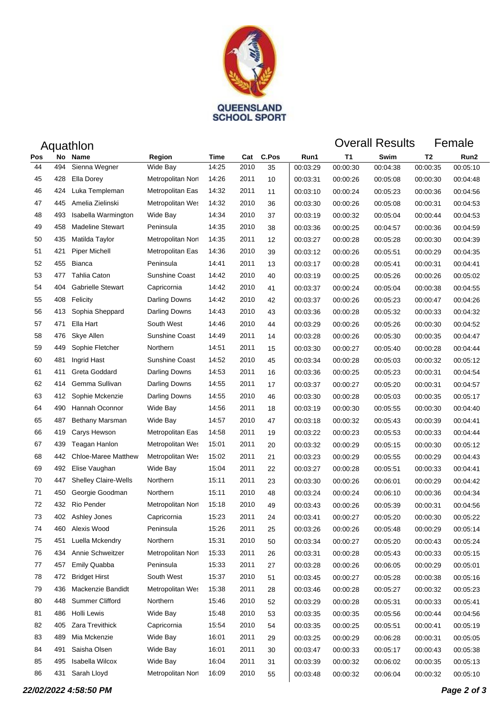

| Aquathlon |     |                             |                       |       |      |       |          | <b>Overall Results</b> |          |          | Female   |
|-----------|-----|-----------------------------|-----------------------|-------|------|-------|----------|------------------------|----------|----------|----------|
| Pos       | No  | <b>Name</b>                 | Region                | Time  | Cat  | C.Pos | Run1     | T1                     | Swim     | T2       | Run2     |
| 44        | 494 | Sienna Wegner               | Wide Bay              | 14:25 | 2010 | 35    | 00:03:29 | 00:00:30               | 00:04:38 | 00:00:35 | 00:05:10 |
| 45        | 428 | Ella Dorey                  | Metropolitan Nort     | 14:26 | 2011 | 10    | 00:03:31 | 00:00:26               | 00:05:08 | 00:00:30 | 00:04:48 |
| 46        | 424 | Luka Templeman              | Metropolitan Eas      | 14:32 | 2011 | 11    | 00:03:10 | 00:00:24               | 00:05:23 | 00:00:36 | 00:04:56 |
| 47        | 445 | Amelia Zielinski            | Metropolitan Wes      | 14:32 | 2010 | 36    | 00:03:30 | 00:00:26               | 00:05:08 | 00:00:31 | 00:04:53 |
| 48        | 493 | Isabella Warmington         | Wide Bay              | 14:34 | 2010 | 37    | 00:03:19 | 00:00:32               | 00:05:04 | 00:00:44 | 00:04:53 |
| 49        | 458 | <b>Madeline Stewart</b>     | Peninsula             | 14:35 | 2010 | 38    | 00:03:36 | 00:00:25               | 00:04:57 | 00:00:36 | 00:04:59 |
| 50        | 435 | Matilda Taylor              | Metropolitan Nort     | 14:35 | 2011 | 12    | 00:03:27 | 00:00:28               | 00:05:28 | 00:00:30 | 00:04:39 |
| 51        | 421 | <b>Piper Michell</b>        | Metropolitan Eas      | 14:36 | 2010 | 39    | 00:03:12 | 00:00:26               | 00:05:51 | 00:00:29 | 00:04:35 |
| 52        | 455 | Bianca                      | Peninsula             | 14:41 | 2011 | 13    | 00:03:17 | 00:00:28               | 00:05:41 | 00:00:31 | 00:04:41 |
| 53        | 477 | Tahlia Caton                | Sunshine Coast        | 14:42 | 2010 | 40    | 00:03:19 | 00:00:25               | 00:05:26 | 00:00:26 | 00:05:02 |
| 54        | 404 | <b>Gabrielle Stewart</b>    | Capricornia           | 14:42 | 2010 | 41    | 00:03:37 | 00:00:24               | 00:05:04 | 00:00:38 | 00:04:55 |
| 55        | 408 | Felicity                    | Darling Downs         | 14:42 | 2010 | 42    | 00:03:37 | 00:00:26               | 00:05:23 | 00:00:47 | 00:04:26 |
| 56        | 413 | Sophia Sheppard             | Darling Downs         | 14:43 | 2010 | 43    | 00:03:36 | 00:00:28               | 00:05:32 | 00:00:33 | 00:04:32 |
| 57        | 471 | Ella Hart                   | South West            | 14:46 | 2010 | 44    | 00:03:29 | 00:00:26               | 00:05:26 | 00:00:30 | 00:04:52 |
| 58        | 476 | Skye Allen                  | Sunshine Coast        | 14:49 | 2011 | 14    | 00:03:28 | 00:00:26               | 00:05:30 | 00:00:35 | 00:04:47 |
| 59        | 449 | Sophie Fletcher             | Northern              | 14:51 | 2011 | 15    | 00:03:30 | 00:00:27               | 00:05:40 | 00:00:28 | 00:04:44 |
| 60        | 481 | Ingrid Hast                 | <b>Sunshine Coast</b> | 14:52 | 2010 | 45    | 00:03:34 | 00:00:28               | 00:05:03 | 00:00:32 | 00:05:12 |
| 61        | 411 | Greta Goddard               | Darling Downs         | 14:53 | 2011 | 16    | 00:03:36 | 00:00:25               | 00:05:23 | 00:00:31 | 00:04:54 |
| 62        | 414 | Gemma Sullivan              | Darling Downs         | 14:55 | 2011 | 17    | 00:03:37 | 00:00:27               | 00:05:20 | 00:00:31 | 00:04:57 |
| 63        | 412 | Sophie Mckenzie             | Darling Downs         | 14:55 | 2010 | 46    | 00:03:30 | 00:00:28               | 00:05:03 | 00:00:35 | 00:05:17 |
| 64        | 490 | Hannah Oconnor              | Wide Bay              | 14:56 | 2011 | 18    | 00:03:19 | 00:00:30               | 00:05:55 | 00:00:30 | 00:04:40 |
| 65        | 487 | Bethany Marsman             | Wide Bay              | 14:57 | 2010 | 47    | 00:03:18 | 00:00:32               | 00:05:43 | 00:00:39 | 00:04:41 |
| 66        | 419 | Carys Hewson                | Metropolitan Eas      | 14:58 | 2011 | 19    | 00:03:22 | 00:00:23               | 00:05:53 | 00:00:33 | 00:04:44 |
| 67        | 439 | Teagan Hanlon               | Metropolitan Wes      | 15:01 | 2011 | 20    | 00:03:32 | 00:00:29               | 00:05:15 | 00:00:30 | 00:05:12 |
| 68        | 442 | <b>Chloe-Maree Matthew</b>  | Metropolitan Wes      | 15:02 | 2011 | 21    | 00:03:23 | 00:00:29               | 00:05:55 | 00:00:29 | 00:04:43 |
| 69        | 492 | Elise Vaughan               | Wide Bay              | 15:04 | 2011 | 22    | 00:03:27 | 00:00:28               | 00:05:51 | 00:00:33 | 00:04:41 |
| 70        | 447 | <b>Shelley Claire-Wells</b> | Northern              | 15:11 | 2011 | 23    | 00:03:30 | 00:00:26               | 00:06:01 | 00:00:29 | 00:04:42 |
| 71        | 450 | Georgie Goodman             | Northern              | 15:11 | 2010 | 48    | 00:03:24 | 00:00:24               | 00:06:10 | 00:00:36 | 00:04:34 |
| 72        | 432 | Rio Pender                  | Metropolitan Nort     | 15:18 | 2010 | 49    | 00:03:43 | 00:00:26               | 00:05:39 | 00:00:31 | 00:04:56 |
| 73        |     | 402 Ashley Jones            | Capricornia           | 15:23 | 2011 | 24    | 00:03:41 | 00:00:27               | 00:05:20 | 00:00:30 | 00:05:22 |
| 74        | 460 | Alexis Wood                 | Peninsula             | 15:26 | 2011 | 25    | 00:03:26 | 00:00:26               | 00:05:48 | 00:00:29 | 00:05:14 |
| 75        | 451 | Luella Mckendry             | Northern              | 15:31 | 2010 | 50    | 00:03:34 | 00:00:27               | 00:05:20 | 00:00:43 | 00:05:24 |
| 76        | 434 | Annie Schweitzer            | Metropolitan Nort     | 15:33 | 2011 | 26    | 00:03:31 | 00:00:28               | 00:05:43 | 00:00:33 | 00:05:15 |
| 77        | 457 | <b>Emily Quabba</b>         | Peninsula             | 15:33 | 2011 | 27    | 00:03:28 | 00:00:26               | 00:06:05 | 00:00:29 | 00:05:01 |
| 78        | 472 | <b>Bridget Hirst</b>        | South West            | 15:37 | 2010 | 51    | 00:03:45 | 00:00:27               | 00:05:28 | 00:00:38 | 00:05:16 |
| 79        | 436 | Mackenzie Bandidt           | Metropolitan Wes      | 15:38 | 2011 | 28    | 00:03:46 | 00:00:28               | 00:05:27 | 00:00:32 | 00:05:23 |
| 80        | 448 | Summer Clifford             | Northern              | 15:46 | 2010 | 52    | 00:03:29 | 00:00:28               | 00:05:31 | 00:00:33 | 00:05:41 |
| 81        | 486 | Holli Lewis                 | Wide Bay              | 15:48 | 2010 | 53    | 00:03:35 | 00:00:35               | 00:05:56 | 00:00:44 | 00:04:56 |
| 82        | 405 | Zara Trevithick             | Capricornia           | 15:54 | 2010 | 54    | 00:03:35 | 00:00:25               | 00:05:51 | 00:00:41 | 00:05:19 |
| 83        | 489 | Mia Mckenzie                | Wide Bay              | 16:01 | 2011 | 29    | 00:03:25 | 00:00:29               | 00:06:28 | 00:00:31 | 00:05:05 |
| 84        | 491 | Saisha Olsen                | Wide Bay              | 16:01 | 2011 | 30    | 00:03:47 | 00:00:33               | 00:05:17 | 00:00:43 | 00:05:38 |
| 85        | 495 | Isabella Wilcox             | Wide Bay              | 16:04 | 2011 | 31    | 00:03:39 | 00:00:32               | 00:06:02 | 00:00:35 | 00:05:13 |
| 86        | 431 | Sarah Lloyd                 | Metropolitan Norl     | 16:09 | 2010 | 55    | 00:03:48 | 00:00:32               | 00:06:04 | 00:00:32 | 00:05:10 |